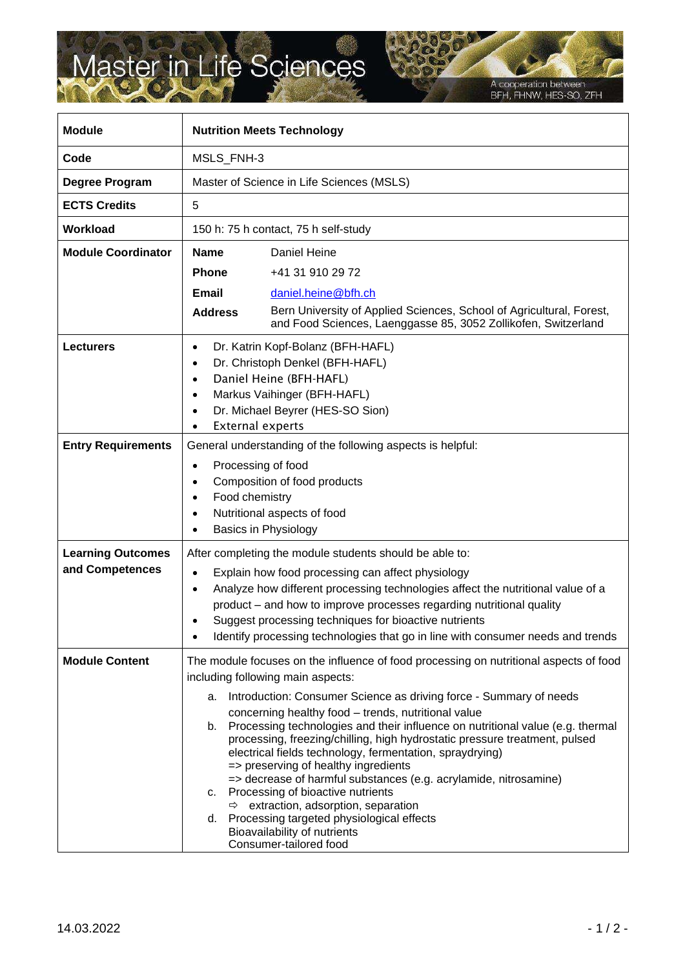## Master in Life Sciences

A cooperation between<br>BFH, FHNW, HES-SO, ZFH

| <b>Module</b>                               | <b>Nutrition Meets Technology</b>                                                                                                                                                                                                                                                                                                                                                                                                                          |                                                                                                                                                                                                                                                                                                                                                                                                                                                                                                                                                                                                                                                                                                                                                                                                 |
|---------------------------------------------|------------------------------------------------------------------------------------------------------------------------------------------------------------------------------------------------------------------------------------------------------------------------------------------------------------------------------------------------------------------------------------------------------------------------------------------------------------|-------------------------------------------------------------------------------------------------------------------------------------------------------------------------------------------------------------------------------------------------------------------------------------------------------------------------------------------------------------------------------------------------------------------------------------------------------------------------------------------------------------------------------------------------------------------------------------------------------------------------------------------------------------------------------------------------------------------------------------------------------------------------------------------------|
| Code                                        | MSLS_FNH-3                                                                                                                                                                                                                                                                                                                                                                                                                                                 |                                                                                                                                                                                                                                                                                                                                                                                                                                                                                                                                                                                                                                                                                                                                                                                                 |
| Degree Program                              | Master of Science in Life Sciences (MSLS)                                                                                                                                                                                                                                                                                                                                                                                                                  |                                                                                                                                                                                                                                                                                                                                                                                                                                                                                                                                                                                                                                                                                                                                                                                                 |
| <b>ECTS Credits</b>                         | 5                                                                                                                                                                                                                                                                                                                                                                                                                                                          |                                                                                                                                                                                                                                                                                                                                                                                                                                                                                                                                                                                                                                                                                                                                                                                                 |
| Workload                                    | 150 h: 75 h contact, 75 h self-study                                                                                                                                                                                                                                                                                                                                                                                                                       |                                                                                                                                                                                                                                                                                                                                                                                                                                                                                                                                                                                                                                                                                                                                                                                                 |
| <b>Module Coordinator</b>                   | <b>Name</b>                                                                                                                                                                                                                                                                                                                                                                                                                                                | Daniel Heine                                                                                                                                                                                                                                                                                                                                                                                                                                                                                                                                                                                                                                                                                                                                                                                    |
|                                             | <b>Phone</b>                                                                                                                                                                                                                                                                                                                                                                                                                                               | +41 31 910 29 72                                                                                                                                                                                                                                                                                                                                                                                                                                                                                                                                                                                                                                                                                                                                                                                |
|                                             | Email                                                                                                                                                                                                                                                                                                                                                                                                                                                      | daniel.heine@bfh.ch                                                                                                                                                                                                                                                                                                                                                                                                                                                                                                                                                                                                                                                                                                                                                                             |
|                                             | <b>Address</b>                                                                                                                                                                                                                                                                                                                                                                                                                                             | Bern University of Applied Sciences, School of Agricultural, Forest,<br>and Food Sciences, Laenggasse 85, 3052 Zollikofen, Switzerland                                                                                                                                                                                                                                                                                                                                                                                                                                                                                                                                                                                                                                                          |
| <b>Lecturers</b>                            | Dr. Katrin Kopf-Bolanz (BFH-HAFL)<br>$\bullet$<br>Dr. Christoph Denkel (BFH-HAFL)<br>$\bullet$<br>Daniel Heine (BFH-HAFL)<br>$\bullet$<br>Markus Vaihinger (BFH-HAFL)<br>$\bullet$<br>Dr. Michael Beyrer (HES-SO Sion)<br>$\bullet$<br><b>External experts</b><br>$\bullet$                                                                                                                                                                                |                                                                                                                                                                                                                                                                                                                                                                                                                                                                                                                                                                                                                                                                                                                                                                                                 |
| <b>Entry Requirements</b>                   | General understanding of the following aspects is helpful:                                                                                                                                                                                                                                                                                                                                                                                                 |                                                                                                                                                                                                                                                                                                                                                                                                                                                                                                                                                                                                                                                                                                                                                                                                 |
|                                             | Processing of food<br>$\bullet$<br>$\bullet$<br>Food chemistry<br>$\bullet$<br>$\bullet$<br>$\bullet$                                                                                                                                                                                                                                                                                                                                                      | Composition of food products<br>Nutritional aspects of food<br>Basics in Physiology                                                                                                                                                                                                                                                                                                                                                                                                                                                                                                                                                                                                                                                                                                             |
| <b>Learning Outcomes</b><br>and Competences | After completing the module students should be able to:<br>Explain how food processing can affect physiology<br>$\bullet$<br>Analyze how different processing technologies affect the nutritional value of a<br>$\bullet$<br>product - and how to improve processes regarding nutritional quality<br>Suggest processing techniques for bioactive nutrients<br>Identify processing technologies that go in line with consumer needs and trends<br>$\bullet$ |                                                                                                                                                                                                                                                                                                                                                                                                                                                                                                                                                                                                                                                                                                                                                                                                 |
| <b>Module Content</b>                       | а.<br>b.<br>c.<br>d.                                                                                                                                                                                                                                                                                                                                                                                                                                       | The module focuses on the influence of food processing on nutritional aspects of food<br>including following main aspects:<br>Introduction: Consumer Science as driving force - Summary of needs<br>concerning healthy food - trends, nutritional value<br>Processing technologies and their influence on nutritional value (e.g. thermal<br>processing, freezing/chilling, high hydrostatic pressure treatment, pulsed<br>electrical fields technology, fermentation, spraydrying)<br>=> preserving of healthy ingredients<br>=> decrease of harmful substances (e.g. acrylamide, nitrosamine)<br>Processing of bioactive nutrients<br>$\Rightarrow$ extraction, adsorption, separation<br>Processing targeted physiological effects<br>Bioavailability of nutrients<br>Consumer-tailored food |